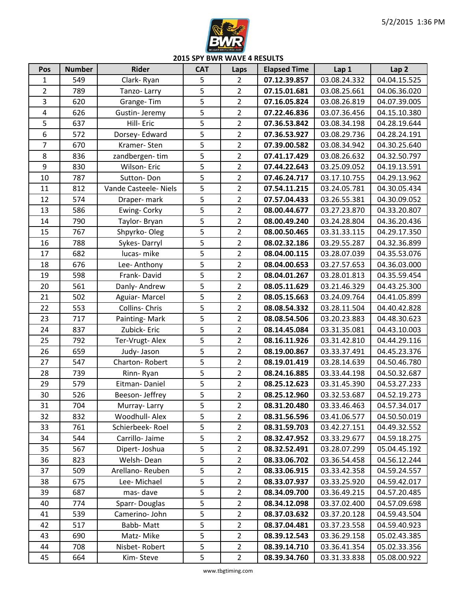

**2015 SPY BWR WAVE 4 RESULTS**

| Pos            | <b>Number</b> | <b>Rider</b>          | <b>CAT</b>     | Laps           | <b>Elapsed Time</b> | Lap 1        | Lap <sub>2</sub> |
|----------------|---------------|-----------------------|----------------|----------------|---------------------|--------------|------------------|
| $\mathbf{1}$   | 549           | Clark-Ryan            | 5              | $\overline{2}$ | 07.12.39.857        | 03.08.24.332 | 04.04.15.525     |
| $\overline{2}$ | 789           | Tanzo-Larry           | 5              | $\overline{2}$ | 07.15.01.681        | 03.08.25.661 | 04.06.36.020     |
| 3              | 620           | Grange-Tim            | 5              | $\overline{2}$ | 07.16.05.824        | 03.08.26.819 | 04.07.39.005     |
| 4              | 626           | Gustin-Jeremy         | 5              | $\overline{2}$ | 07.22.46.836        | 03.07.36.456 | 04.15.10.380     |
| 5              | 637           | Hill- Eric            | 5              | $\overline{2}$ | 07.36.53.842        | 03.08.34.198 | 04.28.19.644     |
| 6              | 572           | Dorsey- Edward        | 5              | $\overline{2}$ | 07.36.53.927        | 03.08.29.736 | 04.28.24.191     |
| $\overline{7}$ | 670           | Kramer-Sten           | 5              | $\overline{2}$ | 07.39.00.582        | 03.08.34.942 | 04.30.25.640     |
| 8              | 836           | zandbergen-tim        | 5              | $\overline{2}$ | 07.41.17.429        | 03.08.26.632 | 04.32.50.797     |
| 9              | 830           | Wilson-Eric           | 5              | $\overline{2}$ | 07.44.22.643        | 03.25.09.052 | 04.19.13.591     |
| 10             | 787           | Sutton-Don            | 5              | $\overline{2}$ | 07.46.24.717        | 03.17.10.755 | 04.29.13.962     |
| 11             | 812           | Vande Casteele- Niels | 5              | $\overline{2}$ | 07.54.11.215        | 03.24.05.781 | 04.30.05.434     |
| 12             | 574           | Draper- mark          | 5              | $\overline{2}$ | 07.57.04.433        | 03.26.55.381 | 04.30.09.052     |
| 13             | 586           | Ewing- Corky          | 5              | $\overline{2}$ | 08.00.44.677        | 03.27.23.870 | 04.33.20.807     |
| 14             | 790           | Taylor-Bryan          | 5              | $\overline{2}$ | 08.00.49.240        | 03.24.28.804 | 04.36.20.436     |
| 15             | 767           | Shpyrko-Oleg          | 5              | $\overline{2}$ | 08.00.50.465        | 03.31.33.115 | 04.29.17.350     |
| 16             | 788           | Sykes-Darryl          | 5              | $\overline{2}$ | 08.02.32.186        | 03.29.55.287 | 04.32.36.899     |
| 17             | 682           | lucas-mike            | 5              | $\overline{2}$ | 08.04.00.115        | 03.28.07.039 | 04.35.53.076     |
| 18             | 676           | Lee-Anthony           | 5              | $\overline{2}$ | 08.04.00.653        | 03.27.57.653 | 04.36.03.000     |
| 19             | 598           | Frank-David           | 5              | $\overline{2}$ | 08.04.01.267        | 03.28.01.813 | 04.35.59.454     |
| 20             | 561           | Danly- Andrew         | 5              | $\overline{2}$ | 08.05.11.629        | 03.21.46.329 | 04.43.25.300     |
| 21             | 502           | Aguiar-Marcel         | 5              | $\overline{2}$ | 08.05.15.663        | 03.24.09.764 | 04.41.05.899     |
| 22             | 553           | Collins- Chris        | 5              | $\overline{2}$ | 08.08.54.332        | 03.28.11.504 | 04.40.42.828     |
| 23             | 717           | Painting-Mark         | 5              | $\overline{2}$ | 08.08.54.506        | 03.20.23.883 | 04.48.30.623     |
| 24             | 837           | Zubick-Eric           | 5              | $\overline{2}$ | 08.14.45.084        | 03.31.35.081 | 04.43.10.003     |
| 25             | 792           | Ter-Vrugt-Alex        | 5              | $\overline{2}$ | 08.16.11.926        | 03.31.42.810 | 04.44.29.116     |
| 26             | 659           | Judy-Jason            | 5              | $\overline{2}$ | 08.19.00.867        | 03.33.37.491 | 04.45.23.376     |
| 27             | 547           | Charton-Robert        | 5              | $\overline{2}$ | 08.19.01.419        | 03.28.14.639 | 04.50.46.780     |
| 28             | 739           | Rinn-Ryan             | 5              | $\overline{2}$ | 08.24.16.885        | 03.33.44.198 | 04.50.32.687     |
| 29             | 579           | Eitman-Daniel         | 5              | $\overline{2}$ | 08.25.12.623        | 03.31.45.390 | 04.53.27.233     |
| 30             | 526           | Beeson- Jeffrey       | $\overline{5}$ | $\overline{2}$ | 08.25.12.960        | 03.32.53.687 | 04.52.19.273     |
| 31             | 704           | Murray-Larry          | 5              | $\overline{2}$ | 08.31.20.480        | 03.33.46.463 | 04.57.34.017     |
| 32             | 832           | Woodhull- Alex        | 5              | $\overline{2}$ | 08.31.56.596        | 03.41.06.577 | 04.50.50.019     |
| 33             | 761           | Schierbeek-Roel       | 5              | $\overline{2}$ | 08.31.59.703        | 03.42.27.151 | 04.49.32.552     |
| 34             | 544           | Carrillo-Jaime        | 5              | $\overline{2}$ | 08.32.47.952        | 03.33.29.677 | 04.59.18.275     |
| 35             | 567           | Dipert-Joshua         | 5              | $\overline{2}$ | 08.32.52.491        | 03.28.07.299 | 05.04.45.192     |
| 36             | 823           | Welsh-Dean            | 5              | $\overline{2}$ | 08.33.06.702        | 03.36.54.458 | 04.56.12.244     |
| 37             | 509           | Arellano-Reuben       | 5              | $\overline{2}$ | 08.33.06.915        | 03.33.42.358 | 04.59.24.557     |
| 38             | 675           | Lee-Michael           | 5              | $\overline{2}$ | 08.33.07.937        | 03.33.25.920 | 04.59.42.017     |
| 39             | 687           | mas-dave              | 5              | $\overline{2}$ | 08.34.09.700        | 03.36.49.215 | 04.57.20.485     |
| 40             | 774           | Sparr-Douglas         | 5              | $\overline{2}$ | 08.34.12.098        | 03.37.02.400 | 04.57.09.698     |
| 41             | 539           | Camerino-John         | 5              | $\overline{2}$ | 08.37.03.632        | 03.37.20.128 | 04.59.43.504     |
| 42             | 517           | Babb-Matt             | 5              | $\overline{2}$ | 08.37.04.481        | 03.37.23.558 | 04.59.40.923     |
| 43             | 690           | Matz-Mike             | 5              | $\overline{2}$ | 08.39.12.543        | 03.36.29.158 | 05.02.43.385     |
| 44             | 708           | Nisbet-Robert         | 5              | $\overline{2}$ | 08.39.14.710        | 03.36.41.354 | 05.02.33.356     |
| 45             | 664           | Kim-Steve             | 5              | $\overline{2}$ | 08.39.34.760        | 03.31.33.838 | 05.08.00.922     |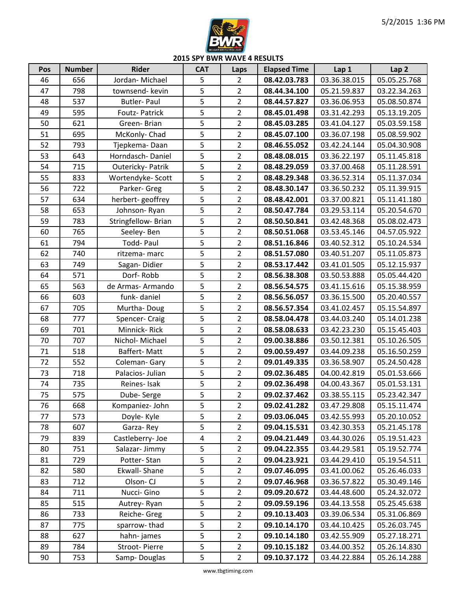

**2015 SPY BWR WAVE 4 RESULTS**

| Pos | <b>Number</b> | <b>Rider</b>       | <b>CAT</b>     | Laps           | <b>Elapsed Time</b> | Lap 1        | Lap <sub>2</sub> |
|-----|---------------|--------------------|----------------|----------------|---------------------|--------------|------------------|
| 46  | 656           | Jordan-Michael     | 5              | $\overline{2}$ | 08.42.03.783        | 03.36.38.015 | 05.05.25.768     |
| 47  | 798           | townsend- kevin    | 5              | $\overline{2}$ | 08.44.34.100        | 05.21.59.837 | 03.22.34.263     |
| 48  | 537           | <b>Butler-Paul</b> | 5              | $\overline{2}$ | 08.44.57.827        | 03.36.06.953 | 05.08.50.874     |
| 49  | 595           | Foutz- Patrick     | $\overline{5}$ | $\overline{2}$ | 08.45.01.498        | 03.31.42.293 | 05.13.19.205     |
| 50  | 621           | Green-Brian        | 5              | $\overline{2}$ | 08.45.03.285        | 03.41.04.127 | 05.03.59.158     |
| 51  | 695           | McKonly-Chad       | 5              | $\overline{2}$ | 08.45.07.100        | 03.36.07.198 | 05.08.59.902     |
| 52  | 793           | Tjepkema-Daan      | 5              | $\overline{2}$ | 08.46.55.052        | 03.42.24.144 | 05.04.30.908     |
| 53  | 643           | Horndasch-Daniel   | 5              | $\overline{2}$ | 08.48.08.015        | 03.36.22.197 | 05.11.45.818     |
| 54  | 715           | Outericky- Patrik  | 5              | $\overline{2}$ | 08.48.29.059        | 03.37.00.468 | 05.11.28.591     |
| 55  | 833           | Wortendyke-Scott   | 5              | $\overline{2}$ | 08.48.29.348        | 03.36.52.314 | 05.11.37.034     |
| 56  | 722           | Parker- Greg       | 5              | $\overline{2}$ | 08.48.30.147        | 03.36.50.232 | 05.11.39.915     |
| 57  | 634           | herbert-geoffrey   | 5              | $\overline{2}$ | 08.48.42.001        | 03.37.00.821 | 05.11.41.180     |
| 58  | 653           | Johnson-Ryan       | 5              | $\overline{2}$ | 08.50.47.784        | 03.29.53.114 | 05.20.54.670     |
| 59  | 783           | Stringfellow-Brian | 5              | $\overline{2}$ | 08.50.50.841        | 03.42.48.368 | 05.08.02.473     |
| 60  | 765           | Seeley-Ben         | 5              | $\overline{2}$ | 08.50.51.068        | 03.53.45.146 | 04.57.05.922     |
| 61  | 794           | Todd-Paul          | 5              | $\overline{2}$ | 08.51.16.846        | 03.40.52.312 | 05.10.24.534     |
| 62  | 740           | ritzema- marc      | 5              | $\overline{2}$ | 08.51.57.080        | 03.40.51.207 | 05.11.05.873     |
| 63  | 749           | Sagan-Didier       | 5              | $\overline{2}$ | 08.53.17.442        | 03.41.01.505 | 05.12.15.937     |
| 64  | 571           | Dorf-Robb          | 5              | $\overline{2}$ | 08.56.38.308        | 03.50.53.888 | 05.05.44.420     |
| 65  | 563           | de Armas-Armando   | 5              | $\overline{2}$ | 08.56.54.575        | 03.41.15.616 | 05.15.38.959     |
| 66  | 603           | funk-daniel        | 5              | $\overline{2}$ | 08.56.56.057        | 03.36.15.500 | 05.20.40.557     |
| 67  | 705           | Murtha-Doug        | 5              | $\overline{2}$ | 08.56.57.354        | 03.41.02.457 | 05.15.54.897     |
| 68  | 777           | Spencer- Craig     | 5              | $\overline{2}$ | 08.58.04.478        | 03.44.03.240 | 05.14.01.238     |
| 69  | 701           | Minnick-Rick       | 5              | $\overline{2}$ | 08.58.08.633        | 03.42.23.230 | 05.15.45.403     |
| 70  | 707           | Nichol-Michael     | 5              | $\overline{2}$ | 09.00.38.886        | 03.50.12.381 | 05.10.26.505     |
| 71  | 518           | Baffert-Matt       | 5              | $\overline{2}$ | 09.00.59.497        | 03.44.09.238 | 05.16.50.259     |
| 72  | 552           | Coleman-Gary       | 5              | $\overline{2}$ | 09.01.49.335        | 03.36.58.907 | 05.24.50.428     |
| 73  | 718           | Palacios- Julian   | 5              | $\overline{2}$ | 09.02.36.485        | 04.00.42.819 | 05.01.53.666     |
| 74  | 735           | Reines-Isak        | 5              | $\overline{2}$ | 09.02.36.498        | 04.00.43.367 | 05.01.53.131     |
| 75  | 575           | Dube-Serge         | 5              | $\overline{2}$ | 09.02.37.462        | 03.38.55.115 | 05.23.42.347     |
| 76  | 668           | Kompaniez-John     | 5              | $\overline{2}$ | 09.02.41.282        | 03.47.29.808 | 05.15.11.474     |
| 77  | 573           | Doyle- Kyle        | 5              | $\overline{2}$ | 09.03.06.045        | 03.42.55.993 | 05.20.10.052     |
| 78  | 607           | Garza-Rey          | 5              | $\overline{2}$ | 09.04.15.531        | 03.42.30.353 | 05.21.45.178     |
| 79  | 839           | Castleberry-Joe    | 4              | $\overline{2}$ | 09.04.21.449        | 03.44.30.026 | 05.19.51.423     |
| 80  | 751           | Salazar-Jimmy      | 5              | $\overline{2}$ | 09.04.22.355        | 03.44.29.581 | 05.19.52.774     |
| 81  | 729           | Potter-Stan        | 5              | $\overline{2}$ | 09.04.23.921        | 03.44.29.410 | 05.19.54.511     |
| 82  | 580           | Ekwall-Shane       | 5              | $\overline{2}$ | 09.07.46.095        | 03.41.00.062 | 05.26.46.033     |
| 83  | 712           | Olson-CJ           | 5              | $\overline{2}$ | 09.07.46.968        | 03.36.57.822 | 05.30.49.146     |
| 84  | 711           | Nucci- Gino        | 5              | $\overline{2}$ | 09.09.20.672        | 03.44.48.600 | 05.24.32.072     |
| 85  | 515           | Autrey-Ryan        | 5              | $\overline{2}$ | 09.09.59.196        | 03.44.13.558 | 05.25.45.638     |
| 86  | 733           | Reiche- Greg       | 5              | $\overline{2}$ | 09.10.13.403        | 03.39.06.534 | 05.31.06.869     |
| 87  | 775           | sparrow-thad       | 5              | $\overline{2}$ | 09.10.14.170        | 03.44.10.425 | 05.26.03.745     |
| 88  | 627           | hahn-james         | 5              | $\overline{2}$ | 09.10.14.180        | 03.42.55.909 | 05.27.18.271     |
| 89  | 784           | Stroot-Pierre      | 5              | $\overline{2}$ | 09.10.15.182        | 03.44.00.352 | 05.26.14.830     |
| 90  | 753           | Samp-Douglas       | 5              | $\overline{2}$ | 09.10.37.172        | 03.44.22.884 | 05.26.14.288     |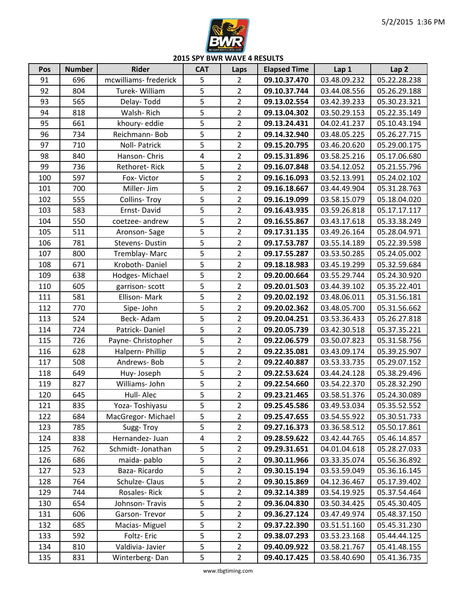

**2015 SPY BWR WAVE 4 RESULTS**

| Pos | <b>Number</b> | <b>Rider</b>         | <b>CAT</b>     | Laps           | <b>Elapsed Time</b> | Lap 1        | Lap <sub>2</sub> |
|-----|---------------|----------------------|----------------|----------------|---------------------|--------------|------------------|
| 91  | 696           | mcwilliams-frederick | 5              | $\overline{2}$ | 09.10.37.470        | 03.48.09.232 | 05.22.28.238     |
| 92  | 804           | Turek-William        | 5              | $\overline{2}$ | 09.10.37.744        | 03.44.08.556 | 05.26.29.188     |
| 93  | 565           | Delay-Todd           | 5              | $\overline{2}$ | 09.13.02.554        | 03.42.39.233 | 05.30.23.321     |
| 94  | 818           | Walsh-Rich           | 5              | $\overline{2}$ | 09.13.04.302        | 03.50.29.153 | 05.22.35.149     |
| 95  | 661           | khoury-eddie         | 5              | $\overline{2}$ | 09.13.24.431        | 04.02.41.237 | 05.10.43.194     |
| 96  | 734           | Reichmann-Bob        | 5              | $\overline{2}$ | 09.14.32.940        | 03.48.05.225 | 05.26.27.715     |
| 97  | 710           | Noll- Patrick        | 5              | $\overline{2}$ | 09.15.20.795        | 03.46.20.620 | 05.29.00.175     |
| 98  | 840           | Hanson-Chris         | $\pmb{4}$      | $\overline{2}$ | 09.15.31.896        | 03.58.25.216 | 05.17.06.680     |
| 99  | 736           | Rethoret-Rick        | 5              | $\overline{2}$ | 09.16.07.848        | 03.54.12.052 | 05.21.55.796     |
| 100 | 597           | Fox-Victor           | 5              | $\overline{2}$ | 09.16.16.093        | 03.52.13.991 | 05.24.02.102     |
| 101 | 700           | Miller- Jim          | 5              | $\overline{2}$ | 09.16.18.667        | 03.44.49.904 | 05.31.28.763     |
| 102 | 555           | <b>Collins-Troy</b>  | 5              | $\overline{2}$ | 09.16.19.099        | 03.58.15.079 | 05.18.04.020     |
| 103 | 583           | Ernst-David          | 5              | $\overline{2}$ | 09.16.43.935        | 03.59.26.818 | 05.17.17.117     |
| 104 | 550           | coetzee- andrew      | 5              | $\overline{2}$ | 09.16.55.867        | 03.43.17.618 | 05.33.38.249     |
| 105 | 511           | Aronson-Sage         | 5              | $\overline{2}$ | 09.17.31.135        | 03.49.26.164 | 05.28.04.971     |
| 106 | 781           | Stevens-Dustin       | 5              | $\overline{2}$ | 09.17.53.787        | 03.55.14.189 | 05.22.39.598     |
| 107 | 800           | Tremblay-Marc        | 5              | $\overline{2}$ | 09.17.55.287        | 03.53.50.285 | 05.24.05.002     |
| 108 | 671           | Kroboth-Daniel       | 5              | $\overline{2}$ | 09.18.18.983        | 03.45.19.299 | 05.32.59.684     |
| 109 | 638           | Hodges-Michael       | 5              | $\overline{2}$ | 09.20.00.664        | 03.55.29.744 | 05.24.30.920     |
| 110 | 605           | garrison-scott       | 5              | $\overline{2}$ | 09.20.01.503        | 03.44.39.102 | 05.35.22.401     |
| 111 | 581           | Ellison-Mark         | 5              | $\overline{2}$ | 09.20.02.192        | 03.48.06.011 | 05.31.56.181     |
| 112 | 770           | Sipe-John            | 5              | $\overline{2}$ | 09.20.02.362        | 03.48.05.700 | 05.31.56.662     |
| 113 | 524           | Beck-Adam            | 5              | $\overline{2}$ | 09.20.04.251        | 03.53.36.433 | 05.26.27.818     |
| 114 | 724           | Patrick-Daniel       | 5              | $\overline{2}$ | 09.20.05.739        | 03.42.30.518 | 05.37.35.221     |
| 115 | 726           | Payne- Christopher   | 5              | $\overline{2}$ | 09.22.06.579        | 03.50.07.823 | 05.31.58.756     |
| 116 | 628           | Halpern-Phillip      | 5              | $\overline{2}$ | 09.22.35.081        | 03.43.09.174 | 05.39.25.907     |
| 117 | 508           | Andrews-Bob          | 5              | $\overline{2}$ | 09.22.40.887        | 03.53.33.735 | 05.29.07.152     |
| 118 | 649           | Huy-Joseph           | 5              | $\overline{2}$ | 09.22.53.624        | 03.44.24.128 | 05.38.29.496     |
| 119 | 827           | Williams-John        | 5              | $\overline{2}$ | 09.22.54.660        | 03.54.22.370 | 05.28.32.290     |
| 120 | 645           | Hull-Alec            | $\overline{5}$ | $\overline{2}$ | 09.23.21.465        | 03.58.51.376 | 05.24.30.089     |
| 121 | 835           | Yoza-Toshiyasu       | 5              | $\overline{2}$ | 09.25.45.586        | 03.49.53.034 | 05.35.52.552     |
| 122 | 684           | MacGregor-Michael    | 5              | $\overline{2}$ | 09.25.47.655        | 03.54.55.922 | 05.30.51.733     |
| 123 | 785           | Sugg-Troy            | 5              | $\overline{2}$ | 09.27.16.373        | 03.36.58.512 | 05.50.17.861     |
| 124 | 838           | Hernandez- Juan      | 4              | $\overline{2}$ | 09.28.59.622        | 03.42.44.765 | 05.46.14.857     |
| 125 | 762           | Schmidt- Jonathan    | 5              | $\overline{2}$ | 09.29.31.651        | 04.01.04.618 | 05.28.27.033     |
| 126 | 686           | maida-pablo          | 5              | $\overline{2}$ | 09.30.11.966        | 03.33.35.074 | 05.56.36.892     |
| 127 | 523           | Baza-Ricardo         | 5              | $\overline{2}$ | 09.30.15.194        | 03.53.59.049 | 05.36.16.145     |
| 128 | 764           | Schulze-Claus        | 5              | $\overline{2}$ | 09.30.15.869        | 04.12.36.467 | 05.17.39.402     |
| 129 | 744           | Rosales-Rick         | 5              | $\overline{2}$ | 09.32.14.389        | 03.54.19.925 | 05.37.54.464     |
| 130 | 654           | Johnson-Travis       | 5              | $\overline{2}$ | 09.36.04.830        | 03.50.34.425 | 05.45.30.405     |
| 131 | 606           | Garson-Trevor        | 5              | $\overline{2}$ | 09.36.27.124        | 03.47.49.974 | 05.48.37.150     |
| 132 | 685           | Macias-Miguel        | 5              | $\overline{2}$ | 09.37.22.390        | 03.51.51.160 | 05.45.31.230     |
| 133 | 592           | Foltz-Eric           | 5              | $\overline{2}$ | 09.38.07.293        | 03.53.23.168 | 05.44.44.125     |
| 134 | 810           | Valdivia-Javier      | 5              | $\overline{2}$ | 09.40.09.922        | 03.58.21.767 | 05.41.48.155     |
| 135 | 831           | Winterberg-Dan       | 5              | $\overline{2}$ | 09.40.17.425        | 03.58.40.690 | 05.41.36.735     |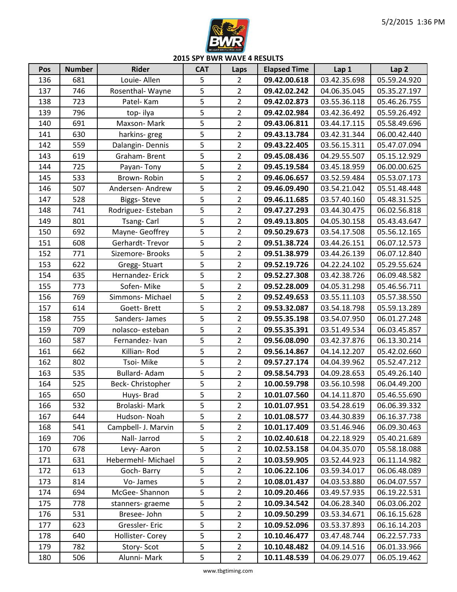

**2015 SPY BWR WAVE 4 RESULTS**

| Pos | <b>Number</b> | <b>Rider</b>        | <b>CAT</b>     | Laps           | <b>Elapsed Time</b> | Lap 1        | Lap <sub>2</sub> |
|-----|---------------|---------------------|----------------|----------------|---------------------|--------------|------------------|
| 136 | 681           | Louie- Allen        | 5              | $\overline{2}$ | 09.42.00.618        | 03.42.35.698 | 05.59.24.920     |
| 137 | 746           | Rosenthal-Wayne     | 5              | $\overline{2}$ | 09.42.02.242        | 04.06.35.045 | 05.35.27.197     |
| 138 | 723           | Patel-Kam           | 5              | $\overline{2}$ | 09.42.02.873        | 03.55.36.118 | 05.46.26.755     |
| 139 | 796           | top-ilya            | 5              | $\overline{2}$ | 09.42.02.984        | 03.42.36.492 | 05.59.26.492     |
| 140 | 691           | Maxson-Mark         | 5              | $\overline{2}$ | 09.43.06.811        | 03.44.17.115 | 05.58.49.696     |
| 141 | 630           | harkins-greg        | 5              | $\overline{2}$ | 09.43.13.784        | 03.42.31.344 | 06.00.42.440     |
| 142 | 559           | Dalangin-Dennis     | 5              | $\overline{2}$ | 09.43.22.405        | 03.56.15.311 | 05.47.07.094     |
| 143 | 619           | Graham-Brent        | 5              | $\overline{2}$ | 09.45.08.436        | 04.29.55.507 | 05.15.12.929     |
| 144 | 725           | Payan-Tony          | 5              | $\overline{2}$ | 09.45.19.584        | 03.45.18.959 | 06.00.00.625     |
| 145 | 533           | Brown-Robin         | 5              | $\overline{2}$ | 09.46.06.657        | 03.52.59.484 | 05.53.07.173     |
| 146 | 507           | Andersen-Andrew     | 5              | $\overline{2}$ | 09.46.09.490        | 03.54.21.042 | 05.51.48.448     |
| 147 | 528           | <b>Biggs-Steve</b>  | 5              | $\overline{2}$ | 09.46.11.685        | 03.57.40.160 | 05.48.31.525     |
| 148 | 741           | Rodriguez-Esteban   | 5              | $\overline{2}$ | 09.47.27.293        | 03.44.30.475 | 06.02.56.818     |
| 149 | 801           | Tsang-Carl          | $\overline{5}$ | $\overline{2}$ | 09.49.13.805        | 04.05.30.158 | 05.43.43.647     |
| 150 | 692           | Mayne- Geoffrey     | 5              | $\overline{2}$ | 09.50.29.673        | 03.54.17.508 | 05.56.12.165     |
| 151 | 608           | Gerhardt-Trevor     | 5              | $\overline{2}$ | 09.51.38.724        | 03.44.26.151 | 06.07.12.573     |
| 152 | 771           | Sizemore- Brooks    | 5              | $\overline{2}$ | 09.51.38.979        | 03.44.26.139 | 06.07.12.840     |
| 153 | 622           | Gregg-Stuart        | 5              | $\overline{2}$ | 09.52.19.726        | 04.22.24.102 | 05.29.55.624     |
| 154 | 635           | Hernandez-Erick     | 5              | $\overline{2}$ | 09.52.27.308        | 03.42.38.726 | 06.09.48.582     |
| 155 | 773           | Sofen-Mike          | 5              | $\overline{2}$ | 09.52.28.009        | 04.05.31.298 | 05.46.56.711     |
| 156 | 769           | Simmons-Michael     | 5              | $\overline{2}$ | 09.52.49.653        | 03.55.11.103 | 05.57.38.550     |
| 157 | 614           | Goett-Brett         | 5              | $\overline{2}$ | 09.53.32.087        | 03.54.18.798 | 05.59.13.289     |
| 158 | 755           | Sanders-James       | 5              | $\overline{2}$ | 09.55.35.198        | 03.54.07.950 | 06.01.27.248     |
| 159 | 709           | nolasco-esteban     | 5              | $\overline{2}$ | 09.55.35.391        | 03.51.49.534 | 06.03.45.857     |
| 160 | 587           | Fernandez- Ivan     | 5              | $\overline{2}$ | 09.56.08.090        | 03.42.37.876 | 06.13.30.214     |
| 161 | 662           | Killian-Rod         | 5              | $\overline{2}$ | 09.56.14.867        | 04.14.12.207 | 05.42.02.660     |
| 162 | 802           | Tsoi-Mike           | 5              | $\overline{2}$ | 09.57.27.174        | 04.04.39.962 | 05.52.47.212     |
| 163 | 535           | Bullard-Adam        | 5              | $\overline{2}$ | 09.58.54.793        | 04.09.28.653 | 05.49.26.140     |
| 164 | 525           | Beck-Christopher    | 5              | $\overline{2}$ | 10.00.59.798        | 03.56.10.598 | 06.04.49.200     |
| 165 | 650           | Huys-Brad           | $\overline{5}$ | $\overline{2}$ | 10.01.07.560        | 04.14.11.870 | 05.46.55.690     |
| 166 | 532           | Brolaski-Mark       | 5              | $\overline{2}$ | 10.01.07.951        | 03.54.28.619 | 06.06.39.332     |
| 167 | 644           | Hudson-Noah         | 5              | $\overline{2}$ | 10.01.08.577        | 03.44.30.839 | 06.16.37.738     |
| 168 | 541           | Campbell- J. Marvin | 5              | $\overline{2}$ | 10.01.17.409        | 03.51.46.946 | 06.09.30.463     |
| 169 | 706           | Nall- Jarrod        | 5              | $\overline{2}$ | 10.02.40.618        | 04.22.18.929 | 05.40.21.689     |
| 170 | 678           | Levy-Aaron          | 5              | $\overline{2}$ | 10.02.53.158        | 04.04.35.070 | 05.58.18.088     |
| 171 | 631           | Hebermehl- Michael  | 5              | $\overline{2}$ | 10.03.59.905        | 03.52.44.923 | 06.11.14.982     |
| 172 | 613           | Goch-Barry          | 5              | $\overline{2}$ | 10.06.22.106        | 03.59.34.017 | 06.06.48.089     |
| 173 | 814           | Vo-James            | 5              | $\overline{2}$ | 10.08.01.437        | 04.03.53.880 | 06.04.07.557     |
| 174 | 694           | McGee-Shannon       | 5              | $\overline{2}$ | 10.09.20.466        | 03.49.57.935 | 06.19.22.531     |
| 175 | 778           | stanners-graeme     | 5              | $\overline{2}$ | 10.09.34.542        | 04.06.28.340 | 06.03.06.202     |
| 176 | 531           | Bresee-John         | 5              | $\overline{2}$ | 10.09.50.299        | 03.53.34.671 | 06.16.15.628     |
| 177 | 623           | Gressler-Eric       | 5              | $\overline{2}$ | 10.09.52.096        | 03.53.37.893 | 06.16.14.203     |
| 178 | 640           | Hollister-Corey     | 5              | $\overline{2}$ | 10.10.46.477        | 03.47.48.744 | 06.22.57.733     |
| 179 | 782           | Story-Scot          | 5              | $\overline{2}$ | 10.10.48.482        | 04.09.14.516 | 06.01.33.966     |
| 180 | 506           | Alunni- Mark        | 5              | $\overline{2}$ | 10.11.48.539        | 04.06.29.077 | 06.05.19.462     |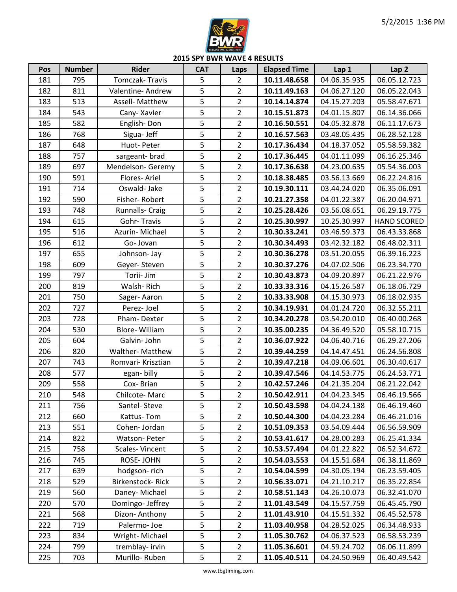

**2015 SPY BWR WAVE 4 RESULTS**

| Pos | <b>Number</b> | <b>Rider</b>           | <b>CAT</b>     | Laps           | <b>Elapsed Time</b> | Lap 1        | Lap <sub>2</sub>   |
|-----|---------------|------------------------|----------------|----------------|---------------------|--------------|--------------------|
| 181 | 795           | Tomczak-Travis         | 5              | $\overline{2}$ | 10.11.48.658        | 04.06.35.935 | 06.05.12.723       |
| 182 | 811           | Valentine-Andrew       | 5              | $\overline{2}$ | 10.11.49.163        | 04.06.27.120 | 06.05.22.043       |
| 183 | 513           | <b>Assell- Matthew</b> | 5              | $\overline{2}$ | 10.14.14.874        | 04.15.27.203 | 05.58.47.671       |
| 184 | 543           | Cany-Xavier            | 5              | $\overline{2}$ | 10.15.51.873        | 04.01.15.807 | 06.14.36.066       |
| 185 | 582           | English-Don            | 5              | $\overline{2}$ | 10.16.50.551        | 04.05.32.878 | 06.11.17.673       |
| 186 | 768           | Sigua- Jeff            | 5              | $\overline{2}$ | 10.16.57.563        | 03.48.05.435 | 06.28.52.128       |
| 187 | 648           | Huot-Peter             | 5              | $\overline{2}$ | 10.17.36.434        | 04.18.37.052 | 05.58.59.382       |
| 188 | 757           | sargeant-brad          | 5              | $\overline{2}$ | 10.17.36.445        | 04.01.11.099 | 06.16.25.346       |
| 189 | 697           | Mendelson-Geremy       | 5              | $\overline{2}$ | 10.17.36.638        | 04.23.00.635 | 05.54.36.003       |
| 190 | 591           | Flores-Ariel           | 5              | $\overline{2}$ | 10.18.38.485        | 03.56.13.669 | 06.22.24.816       |
| 191 | 714           | Oswald-Jake            | 5              | $\overline{2}$ | 10.19.30.111        | 03.44.24.020 | 06.35.06.091       |
| 192 | 590           | Fisher-Robert          | 5              | $\overline{2}$ | 10.21.27.358        | 04.01.22.387 | 06.20.04.971       |
| 193 | 748           | Runnalls- Craig        | 5              | $\overline{2}$ | 10.25.28.426        | 03.56.08.651 | 06.29.19.775       |
| 194 | 615           | Gohr-Travis            | 5              | $\overline{2}$ | 10.25.30.997        | 10.25.30.997 | <b>HAND SCORED</b> |
| 195 | 516           | Azurin-Michael         | 5              | $\overline{2}$ | 10.30.33.241        | 03.46.59.373 | 06.43.33.868       |
| 196 | 612           | Go-Jovan               | 5              | $\overline{2}$ | 10.30.34.493        | 03.42.32.182 | 06.48.02.311       |
| 197 | 655           | Johnson-Jay            | 5              | $\overline{2}$ | 10.30.36.278        | 03.51.20.055 | 06.39.16.223       |
| 198 | 609           | Geyer-Steven           | 5              | $\overline{2}$ | 10.30.37.276        | 04.07.02.506 | 06.23.34.770       |
| 199 | 797           | Torii- Jim             | 5              | $\overline{2}$ | 10.30.43.873        | 04.09.20.897 | 06.21.22.976       |
| 200 | 819           | Walsh-Rich             | 5              | $\overline{2}$ | 10.33.33.316        | 04.15.26.587 | 06.18.06.729       |
| 201 | 750           | Sager-Aaron            | 5              | $\overline{2}$ | 10.33.33.908        | 04.15.30.973 | 06.18.02.935       |
| 202 | 727           | Perez-Joel             | 5              | $\overline{2}$ | 10.34.19.931        | 04.01.24.720 | 06.32.55.211       |
| 203 | 728           | Pham-Dexter            | 5              | $\overline{2}$ | 10.34.20.278        | 03.54.20.010 | 06.40.00.268       |
| 204 | 530           | Blore-William          | 5              | $\overline{2}$ | 10.35.00.235        | 04.36.49.520 | 05.58.10.715       |
| 205 | 604           | Galvin- John           | 5              | $\overline{2}$ | 10.36.07.922        | 04.06.40.716 | 06.29.27.206       |
| 206 | 820           | Walther- Matthew       | 5              | $\overline{2}$ | 10.39.44.259        | 04.14.47.451 | 06.24.56.808       |
| 207 | 743           | Romvari- Krisztian     | 5              | $\overline{2}$ | 10.39.47.218        | 04.09.06.601 | 06.30.40.617       |
| 208 | 577           | egan-billy             | 5              | $\overline{2}$ | 10.39.47.546        | 04.14.53.775 | 06.24.53.771       |
| 209 | 558           | Cox-Brian              | 5              | $\overline{2}$ | 10.42.57.246        | 04.21.35.204 | 06.21.22.042       |
| 210 | 548           | Chilcote-Marc          | $\overline{5}$ | $\overline{2}$ | 10.50.42.911        | 04.04.23.345 | 06.46.19.566       |
| 211 | 756           | Santel-Steve           | 5              | $\overline{2}$ | 10.50.43.598        | 04.04.24.138 | 06.46.19.460       |
| 212 | 660           | Kattus-Tom             | 5              | $\overline{2}$ | 10.50.44.300        | 04.04.23.284 | 06.46.21.016       |
| 213 | 551           | Cohen-Jordan           | 5              | $\overline{2}$ | 10.51.09.353        | 03.54.09.444 | 06.56.59.909       |
| 214 | 822           | Watson-Peter           | 5              | $\overline{2}$ | 10.53.41.617        | 04.28.00.283 | 06.25.41.334       |
| 215 | 758           | Scales-Vincent         | 5              | $\overline{2}$ | 10.53.57.494        | 04.01.22.822 | 06.52.34.672       |
| 216 | 745           | ROSE-JOHN              | 5              | $\overline{2}$ | 10.54.03.553        | 04.15.51.684 | 06.38.11.869       |
| 217 | 639           | hodgson-rich           | 5              | $\overline{2}$ | 10.54.04.599        | 04.30.05.194 | 06.23.59.405       |
| 218 | 529           | Birkenstock-Rick       | 5              | $\overline{2}$ | 10.56.33.071        | 04.21.10.217 | 06.35.22.854       |
| 219 | 560           | Daney-Michael          | 5              | $2^{\circ}$    | 10.58.51.143        | 04.26.10.073 | 06.32.41.070       |
| 220 | 570           | Domingo-Jeffrey        | 5              | $\overline{2}$ | 11.01.43.549        | 04.15.57.759 | 06.45.45.790       |
| 221 | 568           | Dizon-Anthony          | 5              | $\overline{2}$ | 11.01.43.910        | 04.15.51.332 | 06.45.52.578       |
| 222 | 719           | Palermo-Joe            | 5              | $\overline{2}$ | 11.03.40.958        | 04.28.52.025 | 06.34.48.933       |
| 223 | 834           | Wright-Michael         | 5              | $\overline{2}$ | 11.05.30.762        | 04.06.37.523 | 06.58.53.239       |
| 224 | 799           | tremblay- irvin        | 5              | $\overline{2}$ | 11.05.36.601        | 04.59.24.702 | 06.06.11.899       |
| 225 | 703           | Murillo-Ruben          | 5              | $\overline{2}$ | 11.05.40.511        | 04.24.50.969 | 06.40.49.542       |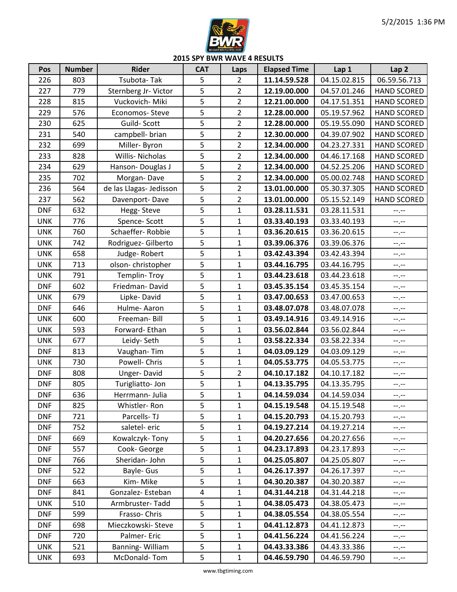

**2015 SPY BWR WAVE 4 RESULTS**

| Pos        | <b>Number</b> | <b>Rider</b>            | <b>CAT</b>     | Laps           | <b>Elapsed Time</b> | Lap 1        | Lap <sub>2</sub>   |
|------------|---------------|-------------------------|----------------|----------------|---------------------|--------------|--------------------|
| 226        | 803           | Tsubota-Tak             | 5              | $\overline{2}$ | 11.14.59.528        | 04.15.02.815 | 06.59.56.713       |
| 227        | 779           | Sternberg Jr- Victor    | 5              | $\overline{2}$ | 12.19.00.000        | 04.57.01.246 | <b>HAND SCORED</b> |
| 228        | 815           | Vuckovich- Miki         | 5              | $\overline{2}$ | 12.21.00.000        | 04.17.51.351 | <b>HAND SCORED</b> |
| 229        | 576           | Economos-Steve          | 5              | $\overline{2}$ | 12.28.00.000        | 05.19.57.962 | <b>HAND SCORED</b> |
| 230        | 625           | Guild-Scott             | 5              | $\overline{2}$ | 12.28.00.000        | 05.19.55.090 | <b>HAND SCORED</b> |
| 231        | 540           | campbell- brian         | 5              | $\overline{2}$ | 12.30.00.000        | 04.39.07.902 | <b>HAND SCORED</b> |
| 232        | 699           | Miller-Byron            | 5              | $\overline{2}$ | 12.34.00.000        | 04.23.27.331 | <b>HAND SCORED</b> |
| 233        | 828           | Willis-Nicholas         | 5              | $\overline{2}$ | 12.34.00.000        | 04.46.17.168 | <b>HAND SCORED</b> |
| 234        | 629           | Hanson-Douglas J        | 5              | $\overline{2}$ | 12.34.00.000        | 04.52.25.206 | <b>HAND SCORED</b> |
| 235        | 702           | Morgan-Dave             | 5              | $\overline{2}$ | 12.34.00.000        | 05.00.02.748 | <b>HAND SCORED</b> |
| 236        | 564           | de las Llagas- Jedisson | $\overline{5}$ | $\overline{2}$ | 13.01.00.000        | 05.30.37.305 | <b>HAND SCORED</b> |
| 237        | 562           | Davenport-Dave          | 5              | $\overline{2}$ | 13.01.00.000        | 05.15.52.149 | <b>HAND SCORED</b> |
| <b>DNF</b> | 632           | Hegg-Steve              | 5              | $\mathbf{1}$   | 03.28.11.531        | 03.28.11.531 | --.--              |
| <b>UNK</b> | 776           | Spence-Scott            | 5              | $\mathbf{1}$   | 03.33.40.193        | 03.33.40.193 | $-1$ . $-1$        |
| <b>UNK</b> | 760           | Schaeffer-Robbie        | 5              | 1              | 03.36.20.615        | 03.36.20.615 | $-1$ .             |
| <b>UNK</b> | 742           | Rodriguez- Gilberto     | 5              | $\mathbf{1}$   | 03.39.06.376        | 03.39.06.376 | $-1$               |
| <b>UNK</b> | 658           | Judge-Robert            | 5              | $\mathbf{1}$   | 03.42.43.394        | 03.42.43.394 | $-1$               |
| <b>UNK</b> | 713           | olson-christopher       | 5              | $\mathbf{1}$   | 03.44.16.795        | 03.44.16.795 | $-1$               |
| <b>UNK</b> | 791           | Templin-Troy            | 5              | $\mathbf{1}$   | 03.44.23.618        | 03.44.23.618 | $-1$               |
| <b>DNF</b> | 602           | Friedman-David          | 5              | $\mathbf{1}$   | 03.45.35.154        | 03.45.35.154 | $-1$               |
| <b>UNK</b> | 679           | Lipke-David             | 5              | $\mathbf{1}$   | 03.47.00.653        | 03.47.00.653 | $-1$               |
| <b>DNF</b> | 646           | Hulme-Aaron             | 5              | $\mathbf{1}$   | 03.48.07.078        | 03.48.07.078 | $-1$               |
| <b>UNK</b> | 600           | Freeman-Bill            | 5              | $\mathbf{1}$   | 03.49.14.916        | 03.49.14.916 | $-1$               |
| <b>UNK</b> | 593           | Forward-Ethan           | 5              | $\mathbf 1$    | 03.56.02.844        | 03.56.02.844 | $-1$               |
| <b>UNK</b> | 677           | Leidy-Seth              | 5              | $\mathbf{1}$   | 03.58.22.334        | 03.58.22.334 | $-1$               |
| <b>DNF</b> | 813           | Vaughan-Tim             | 5              | $\mathbf{1}$   | 04.03.09.129        | 04.03.09.129 | $-1$ . $-1$        |
| <b>UNK</b> | 730           | Powell- Chris           | 5              | $\mathbf 1$    | 04.05.53.775        | 04.05.53.775 | $-1$               |
| <b>DNF</b> | 808           | Unger-David             | 5              | $\overline{2}$ | 04.10.17.182        | 04.10.17.182 | $-1$ , $-1$        |
| <b>DNF</b> | 805           | Turigliatto-Jon         | 5              | $\mathbf{1}$   | 04.13.35.795        | 04.13.35.795 | $-1$               |
| <b>DNF</b> | 636           | Herrmann- Julia         | $\overline{5}$ | $\mathbf{1}$   | 04.14.59.034        | 04.14.59.034 | $-1, -1$           |
| <b>DNF</b> | 825           | Whistler-Ron            | 5              | $\mathbf{1}$   | 04.15.19.548        | 04.15.19.548 | $-1, -1$           |
| <b>DNF</b> | 721           | Parcells-TJ             | 5              | 1              | 04.15.20.793        | 04.15.20.793 | --.--              |
| <b>DNF</b> | 752           | saletel-eric            | 5              | $\mathbf{1}$   | 04.19.27.214        | 04.19.27.214 | $-1, -1$           |
| <b>DNF</b> | 669           | Kowalczyk-Tony          | 5              | 1              | 04.20.27.656        | 04.20.27.656 | $-1, -1$           |
| <b>DNF</b> | 557           | Cook-George             | 5              | 1              | 04.23.17.893        | 04.23.17.893 | $-1, -1$           |
| <b>DNF</b> | 766           | Sheridan-John           | 5              | $\mathbf{1}$   | 04.25.05.807        | 04.25.05.807 | $-1, -1$           |
| <b>DNF</b> | 522           | Bayle- Gus              | 5              | $\mathbf{1}$   | 04.26.17.397        | 04.26.17.397 | $--, --$           |
| <b>DNF</b> | 663           | Kim-Mike                | 5              | $\mathbf 1$    | 04.30.20.387        | 04.30.20.387 | $-1, -1$           |
| <b>DNF</b> | 841           | Gonzalez-Esteban        | $\overline{4}$ | $\mathbf{1}$   | 04.31.44.218        | 04.31.44.218 | $-1, -1$           |
| <b>UNK</b> | 510           | Armbruster-Tadd         | 5              | 1              | 04.38.05.473        | 04.38.05.473 | $-1, -1$           |
| <b>DNF</b> | 599           | Frasso-Chris            | 5              | $\mathbf{1}$   | 04.38.05.554        | 04.38.05.554 | $-1, -1$           |
| <b>DNF</b> | 698           | Mieczkowski-Steve       | 5              | 1              | 04.41.12.873        | 04.41.12.873 | $-1, -1$           |
| <b>DNF</b> | 720           | Palmer-Eric             | 5              | 1              | 04.41.56.224        | 04.41.56.224 | $-1, -1$           |
| <b>UNK</b> | 521           | Banning-William         | 5              | $\mathbf{1}$   | 04.43.33.386        | 04.43.33.386 | $-1, -1$           |
| <b>UNK</b> | 693           | McDonald-Tom            | 5              | $\mathbf{1}$   | 04.46.59.790        | 04.46.59.790 | $-1, -1$           |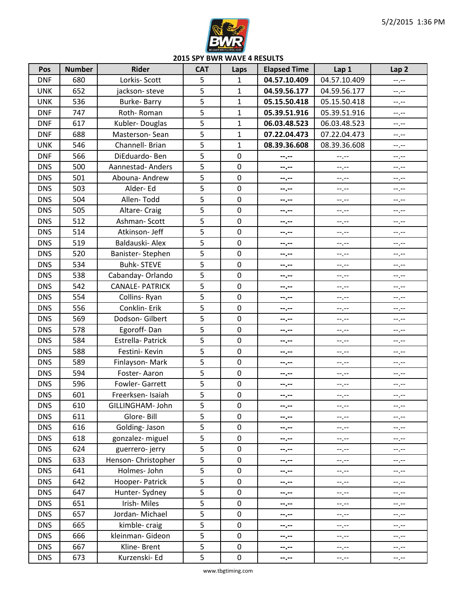

**2015 SPY BWR WAVE 4 RESULTS**

| Pos        | <b>Number</b> | <b>Rider</b>          | <b>CAT</b> | Laps             | <b>Elapsed Time</b> | Lap 1            | Lap <sub>2</sub> |
|------------|---------------|-----------------------|------------|------------------|---------------------|------------------|------------------|
| <b>DNF</b> | 680           | Lorkis- Scott         | 5          | $\mathbf{1}$     | 04.57.10.409        | 04.57.10.409     | $-1$ , $-1$      |
| <b>UNK</b> | 652           | jackson-steve         | 5          | $\mathbf{1}$     | 04.59.56.177        | 04.59.56.177     | $-1$ .           |
| <b>UNK</b> | 536           | Burke-Barry           | 5          | $\mathbf{1}$     | 05.15.50.418        | 05.15.50.418     | $-1$ , $-1$      |
| <b>DNF</b> | 747           | Roth-Roman            | 5          | $\mathbf{1}$     | 05.39.51.916        | 05.39.51.916     | $-1, -1$         |
| <b>DNF</b> | 617           | Kubler-Douglas        | 5          | $\mathbf{1}$     | 06.03.48.523        | 06.03.48.523     | $-1$ , $-1$      |
| <b>DNF</b> | 688           | Masterson-Sean        | 5          | $\mathbf{1}$     | 07.22.04.473        | 07.22.04.473     | --.--            |
| <b>UNK</b> | 546           | Channell- Brian       | 5          | $\mathbf{1}$     | 08.39.36.608        | 08.39.36.608     | $-1$             |
| <b>DNF</b> | 566           | DiEduardo-Ben         | 5          | $\mathbf 0$      | --.--               | --.--            | $- - - - -$      |
| <b>DNS</b> | 500           | Aannestad- Anders     | 5          | $\mathbf 0$      | --.--               | --.--            | $-1, -1$         |
| <b>DNS</b> | 501           | Abouna- Andrew        | 5          | $\mathbf 0$      | --.--               | $-1, -1$         | $-1$             |
| <b>DNS</b> | 503           | Alder-Ed              | 5          | $\mathbf 0$      | --.--               | --.--            | --.--            |
| <b>DNS</b> | 504           | Allen-Todd            | 5          | $\pmb{0}$        | --.--               | $-1, -1$         | $-1$ , $-1$      |
| <b>DNS</b> | 505           | Altare- Craig         | 5          | $\mathbf 0$      | --.--               | $-1, -1$         | --.--            |
| <b>DNS</b> | 512           | Ashman-Scott          | 5          | $\pmb{0}$        | --.--               | --.--            | --.--            |
| <b>DNS</b> | 514           | Atkinson- Jeff        | 5          | $\mathbf 0$      | --.--               | --.--            | $-1, -1$         |
| <b>DNS</b> | 519           | Baldauski- Alex       | 5          | $\mathbf 0$      | --.--               | $-1, -1$         | $-1$ , $-1$      |
| <b>DNS</b> | 520           | Banister-Stephen      | 5          | $\pmb{0}$        | --.--               | --.--            | $-1$ , $-1$      |
| <b>DNS</b> | 534           | <b>Buhk-STEVE</b>     | 5          | $\mathbf 0$      | --.--               | --.--            | --.--            |
| <b>DNS</b> | 538           | Cabanday-Orlando      | 5          | $\mathbf 0$      | --.--               | --.--            | $-1$             |
| <b>DNS</b> | 542           | <b>CANALE-PATRICK</b> | 5          | $\mathbf 0$      | --.--               | --.--            | --.--            |
| <b>DNS</b> | 554           | Collins-Ryan          | 5          | $\mathbf 0$      | --.--               | --.--            | $--, --$         |
| <b>DNS</b> | 556           | Conklin-Erik          | 5          | $\mathbf 0$      | $-1 - 1 - 1 = 0$    | --.--            | $-1$             |
| <b>DNS</b> | 569           | Dodson-Gilbert        | 5          | $\mathbf 0$      | --.--               | --.--            | $-1, -1$         |
| <b>DNS</b> | 578           | Egoroff-Dan           | 5          | $\mathbf 0$      | --.--               | --.--            | $-1, -1$         |
| <b>DNS</b> | 584           | Estrella- Patrick     | 5          | $\mathbf 0$      | --.--               | --.--            | --.--            |
| <b>DNS</b> | 588           | Festini- Kevin        | 5          | $\pmb{0}$        | --.--               | --.--            | $-1, -1$         |
| <b>DNS</b> | 589           | Finlayson-Mark        | 5          | $\mathbf 0$      | --.--               | --.--            | $-1, -1$         |
| <b>DNS</b> | 594           | Foster-Aaron          | 5          | $\mathbf 0$      | --.--               | --.--            | $-1, -1$         |
| <b>DNS</b> | 596           | Fowler-Garrett        | 5          | $\boldsymbol{0}$ | --.--               | --.--            | $-1, -1$         |
| <b>DNS</b> | 601           | Freerksen- Isaiah     | 5          | $\mathbf 0$      | --.--               | --.--            | $-1, -1$         |
| <b>DNS</b> | 610           | GILLINGHAM- John      | 5          | 0                | --.--               | $-1 - 1 - 1 = 0$ | $-1, -1$         |
| <b>DNS</b> | 611           | Glore-Bill            | 5          | $\mathbf 0$      | --.--               | --.--            | --.--            |
| <b>DNS</b> | 616           | Golding-Jason         | 5          | $\boldsymbol{0}$ | --.--               | --.--            | $-1, -1$         |
| <b>DNS</b> | 618           | gonzalez- miguel      | 5          | $\boldsymbol{0}$ | --.--               | --.--            | $--, --$         |
| <b>DNS</b> | 624           | guerrero-jerry        | 5          | $\mathbf 0$      | --.--               | $-1$             | $-1, -1$         |
| <b>DNS</b> | 633           | Henson- Christopher   | 5          | $\boldsymbol{0}$ | --.--               | --.--            | $--, --$         |
| <b>DNS</b> | 641           | Holmes-John           | 5          | $\mathbf 0$      | --.--               | --.--            | --.--            |
| <b>DNS</b> | 642           | Hooper-Patrick        | 5          | $\pmb{0}$        | --.--               | --.--            | --.--            |
| <b>DNS</b> | 647           | Hunter-Sydney         | 5          | $\boldsymbol{0}$ | --.--               | --.--            | --.--            |
| <b>DNS</b> | 651           | Irish-Miles           | 5          | $\mathbf 0$      | --.--               | --.--            | $- - - - -$      |
| <b>DNS</b> | 657           | Jordan-Michael        | 5          | $\pmb{0}$        | --.--               | --.--            | $-1, -1$         |
| <b>DNS</b> | 665           | kimble-craig          | 5          | $\mathbf 0$      | --.--               | --.--            | $--, --$         |
| <b>DNS</b> | 666           | kleinman- Gideon      | 5          | $\pmb{0}$        | --.--               | --.--            | --.--            |
| <b>DNS</b> | 667           | Kline-Brent           | 5          | $\mathbf 0$      | --.--               | --.--            | --.--            |
| <b>DNS</b> | 673           | Kurzenski- Ed         | 5          | $\pmb{0}$        | --.--               | --.--            | $-1, -1$         |